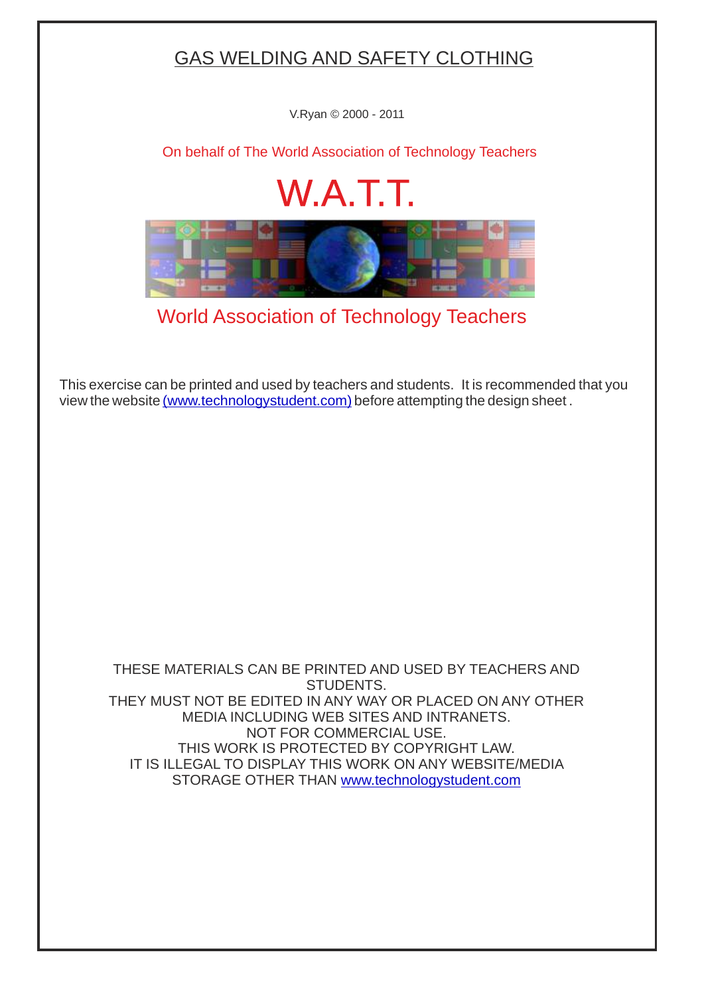## GAS WELDING AND SAFETY CLOTHING

V.Ryan © 2000 - 2011

[On behalf of The World Association of Technology Teachers](http://www.technologystudent.com/designpro/drawdex.htm)

## W.A.T.T.



[World Association of Technology Teachers](http://www.technologystudent.com/designpro/drawdex.htm)

[This exercise can be printed and used by teachers and students. It is recommended that you](http://www.technologystudent.com/designpro/drawdex.htm) view the website [\(www.technologystudent.com\)](http://www.technologystudent.com/designpro/drawdex.htm) before attempting the design sheet .

THESE MATERIALS CAN BE PRINTED AND USED BY TEACHERS AND STUDENTS. THEY MUST NOT BE EDITED IN ANY WAY OR PLACED ON ANY OTHER MEDIA INCLUDING WEB SITES AND INTRANETS. NOT FOR COMMERCIAL USE. THIS WORK IS PROTECTED BY COPYRIGHT LAW. IT IS ILLEGAL TO DISPLAY THIS WORK ON ANY WEBSITE/MEDIA STORAGE OTHER THAN [www.technologystudent.com](http://www.technologystudent.com/designpro/drawdex.htm)